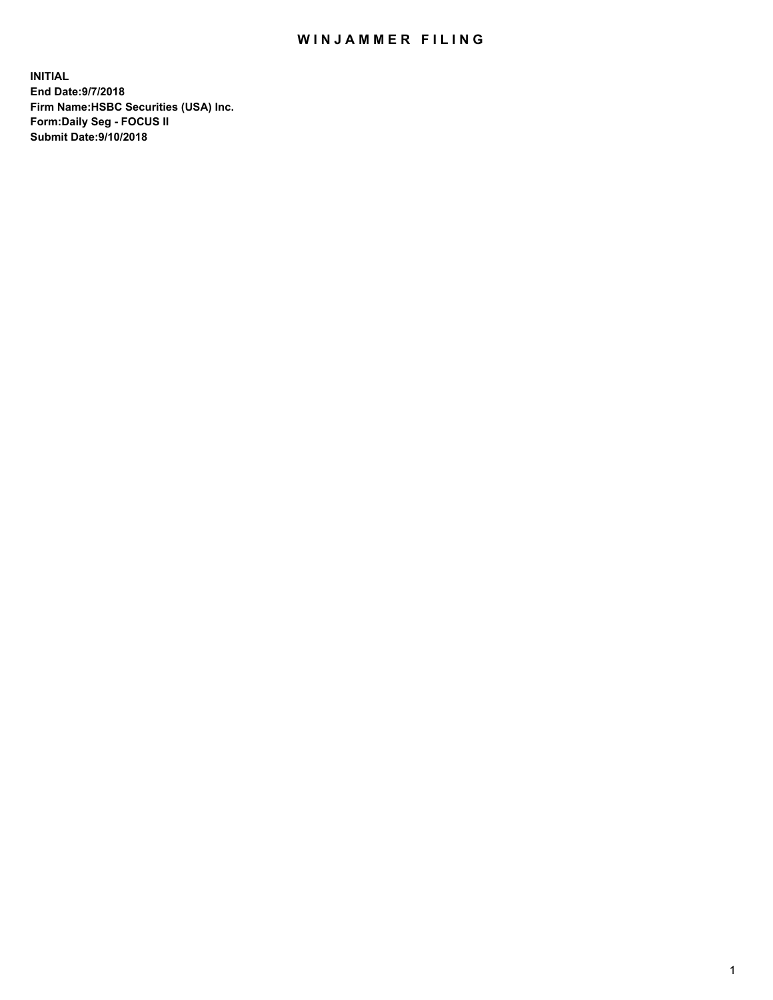## WIN JAMMER FILING

**INITIAL End Date:9/7/2018 Firm Name:HSBC Securities (USA) Inc. Form:Daily Seg - FOCUS II Submit Date:9/10/2018**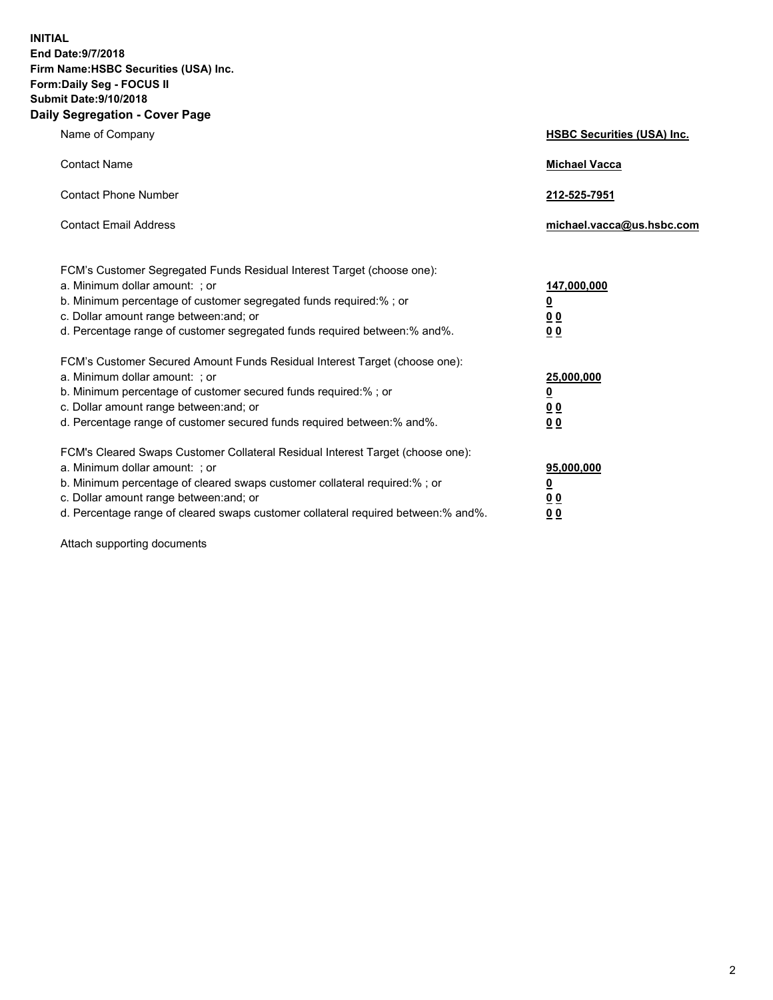**INITIAL End Date:9/7/2018 Firm Name:HSBC Securities (USA) Inc. Form:Daily Seg - FOCUS II Submit Date:9/10/2018 Daily Segregation - Cover Page**

| Name of Company                                                                                                                                                                                                                                                                                                                | <b>HSBC Securities (USA) Inc.</b>                                           |
|--------------------------------------------------------------------------------------------------------------------------------------------------------------------------------------------------------------------------------------------------------------------------------------------------------------------------------|-----------------------------------------------------------------------------|
| <b>Contact Name</b>                                                                                                                                                                                                                                                                                                            | <b>Michael Vacca</b>                                                        |
| <b>Contact Phone Number</b>                                                                                                                                                                                                                                                                                                    | 212-525-7951                                                                |
| <b>Contact Email Address</b>                                                                                                                                                                                                                                                                                                   | michael.vacca@us.hsbc.com                                                   |
| FCM's Customer Segregated Funds Residual Interest Target (choose one):<br>a. Minimum dollar amount: ; or<br>b. Minimum percentage of customer segregated funds required:% ; or<br>c. Dollar amount range between: and; or<br>d. Percentage range of customer segregated funds required between:% and%.                         | 147,000,000<br>$\underline{\mathbf{0}}$<br>0 <sub>0</sub><br>0 <sub>0</sub> |
| FCM's Customer Secured Amount Funds Residual Interest Target (choose one):<br>a. Minimum dollar amount: ; or<br>b. Minimum percentage of customer secured funds required:%; or<br>c. Dollar amount range between: and; or<br>d. Percentage range of customer secured funds required between:% and%.                            | 25,000,000<br>$\underline{\mathbf{0}}$<br>0 <sub>0</sub><br>00              |
| FCM's Cleared Swaps Customer Collateral Residual Interest Target (choose one):<br>a. Minimum dollar amount: ; or<br>b. Minimum percentage of cleared swaps customer collateral required:% ; or<br>c. Dollar amount range between: and; or<br>d. Percentage range of cleared swaps customer collateral required between:% and%. | 95,000,000<br><u>0</u><br><u>00</u><br>00                                   |

Attach supporting documents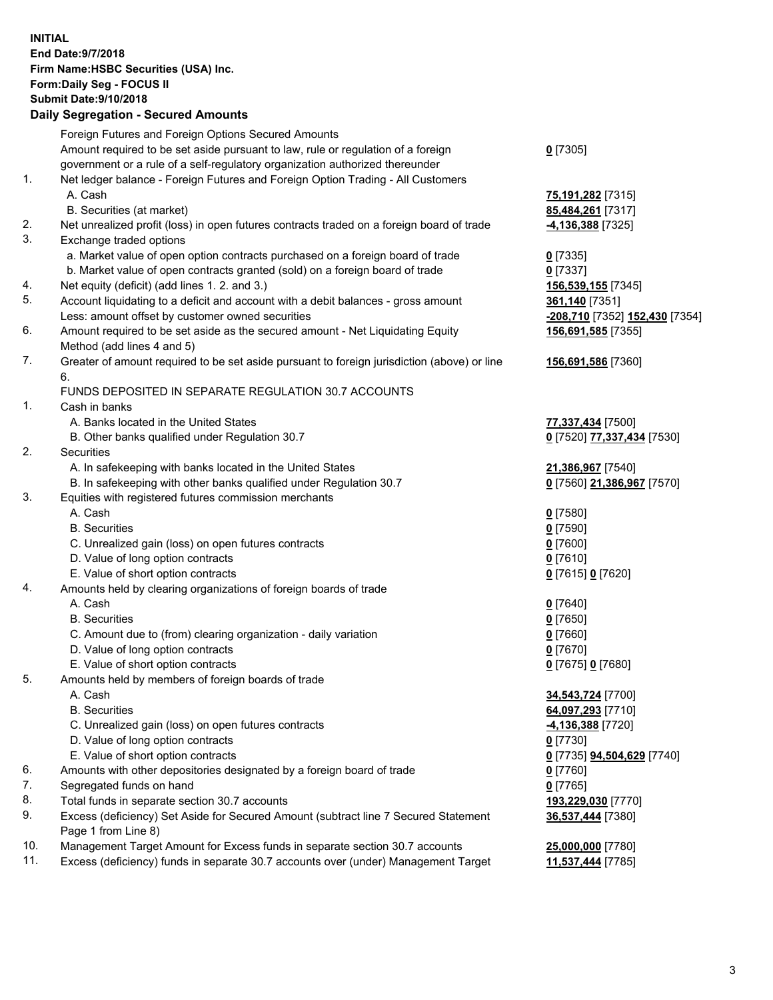**INITIAL End Date:9/7/2018 Firm Name:HSBC Securities (USA) Inc. Form:Daily Seg - FOCUS II Submit Date:9/10/2018 Daily Segregation - Secured Amounts** Foreign Futures and Foreign Options Secured Amounts Amount required to be set aside pursuant to law, rule or regulation of a foreign government or a rule of a self-regulatory organization authorized thereunder **0** [7305] 1. Net ledger balance - Foreign Futures and Foreign Option Trading - All Customers A. Cash **75,191,282** [7315] B. Securities (at market) **85,484,261** [7317] 2. Net unrealized profit (loss) in open futures contracts traded on a foreign board of trade **-4,136,388** [7325] 3. Exchange traded options a. Market value of open option contracts purchased on a foreign board of trade **0** [7335] b. Market value of open contracts granted (sold) on a foreign board of trade **0** [7337] 4. Net equity (deficit) (add lines 1. 2. and 3.) **156,539,155** [7345] 5. Account liquidating to a deficit and account with a debit balances - gross amount **361,140** [7351] Less: amount offset by customer owned securities **-208,710** [7352] **152,430** [7354] 6. Amount required to be set aside as the secured amount - Net Liquidating Equity Method (add lines 4 and 5) **156,691,585** [7355] 7. Greater of amount required to be set aside pursuant to foreign jurisdiction (above) or line 6. **156,691,586** [7360] FUNDS DEPOSITED IN SEPARATE REGULATION 30.7 ACCOUNTS 1. Cash in banks A. Banks located in the United States **77,337,434** [7500] B. Other banks qualified under Regulation 30.7 **0** [7520] **77,337,434** [7530] 2. Securities A. In safekeeping with banks located in the United States **21,386,967** [7540] B. In safekeeping with other banks qualified under Regulation 30.7 **0** [7560] **21,386,967** [7570] 3. Equities with registered futures commission merchants A. Cash **0** [7580] B. Securities **0** [7590] C. Unrealized gain (loss) on open futures contracts **0** [7600] D. Value of long option contracts **0** [7610] E. Value of short option contracts **0** [7615] **0** [7620] 4. Amounts held by clearing organizations of foreign boards of trade A. Cash **0** [7640] B. Securities **0** [7650] C. Amount due to (from) clearing organization - daily variation **0** [7660] D. Value of long option contracts **0** [7670] E. Value of short option contracts **0** [7675] **0** [7680] 5. Amounts held by members of foreign boards of trade A. Cash **34,543,724** [7700] B. Securities **64,097,293** [7710] C. Unrealized gain (loss) on open futures contracts **-4,136,388** [7720] D. Value of long option contracts **0** [7730] E. Value of short option contracts **0** [7735] **94,504,629** [7740] 6. Amounts with other depositories designated by a foreign board of trade **0** [7760] 7. Segregated funds on hand **0** [7765]

- 8. Total funds in separate section 30.7 accounts **193,229,030** [7770] 9. Excess (deficiency) Set Aside for Secured Amount (subtract line 7 Secured Statement Page 1 from Line 8)
- 10. Management Target Amount for Excess funds in separate section 30.7 accounts **25,000,000** [7780]

11. Excess (deficiency) funds in separate 30.7 accounts over (under) Management Target **11,537,444** [7785]

**36,537,444** [7380]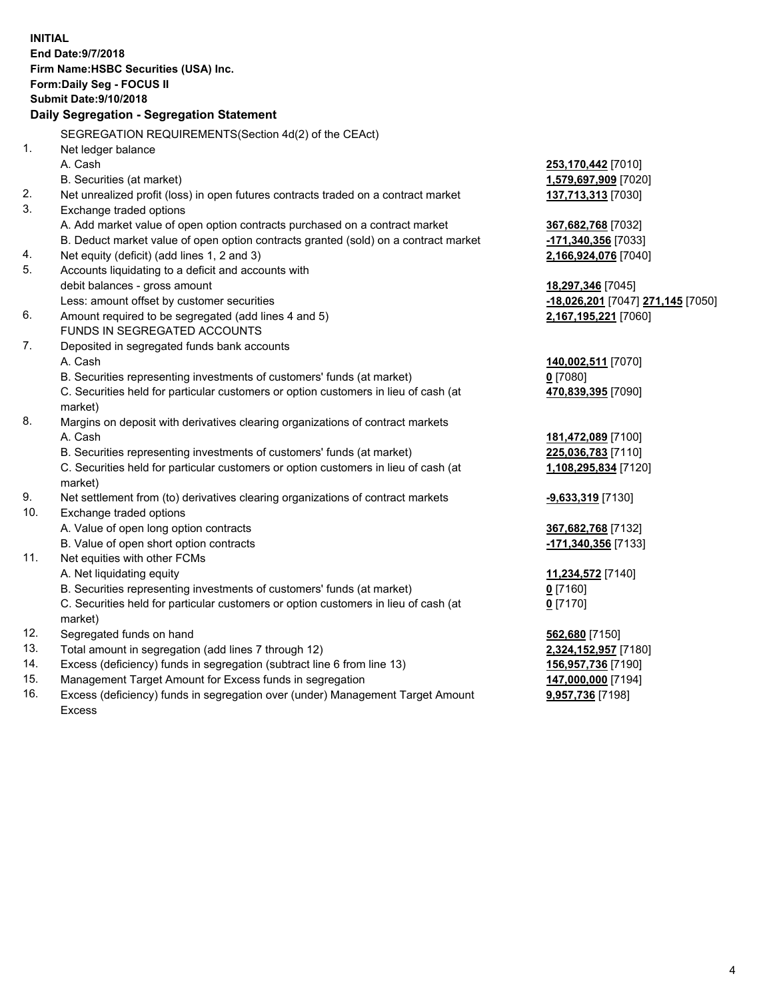|     | <b>INITIAL</b><br>End Date: 9/7/2018<br>Firm Name: HSBC Securities (USA) Inc.<br>Form: Daily Seg - FOCUS II<br><b>Submit Date: 9/10/2018</b><br>Daily Segregation - Segregation Statement |                                   |
|-----|-------------------------------------------------------------------------------------------------------------------------------------------------------------------------------------------|-----------------------------------|
|     | SEGREGATION REQUIREMENTS(Section 4d(2) of the CEAct)                                                                                                                                      |                                   |
| 1.  | Net ledger balance                                                                                                                                                                        |                                   |
|     | A. Cash                                                                                                                                                                                   | 253,170,442 [7010]                |
|     | B. Securities (at market)                                                                                                                                                                 | 1,579,697,909 [7020]              |
| 2.  | Net unrealized profit (loss) in open futures contracts traded on a contract market                                                                                                        | 137,713,313 [7030]                |
| 3.  | Exchange traded options                                                                                                                                                                   |                                   |
|     | A. Add market value of open option contracts purchased on a contract market                                                                                                               | 367,682,768 [7032]                |
|     | B. Deduct market value of open option contracts granted (sold) on a contract market                                                                                                       | -171,340,356 [7033]               |
| 4.  | Net equity (deficit) (add lines 1, 2 and 3)                                                                                                                                               | 2,166,924,076 [7040]              |
| 5.  | Accounts liquidating to a deficit and accounts with                                                                                                                                       |                                   |
|     | debit balances - gross amount                                                                                                                                                             | 18,297,346 [7045]                 |
|     | Less: amount offset by customer securities                                                                                                                                                | -18,026,201 [7047] 271,145 [7050] |
| 6.  | Amount required to be segregated (add lines 4 and 5)                                                                                                                                      | 2,167,195,221 [7060]              |
|     | FUNDS IN SEGREGATED ACCOUNTS                                                                                                                                                              |                                   |
| 7.  | Deposited in segregated funds bank accounts                                                                                                                                               |                                   |
|     | A. Cash                                                                                                                                                                                   | 140,002,511 [7070]                |
|     | B. Securities representing investments of customers' funds (at market)                                                                                                                    | $0$ [7080]                        |
|     | C. Securities held for particular customers or option customers in lieu of cash (at                                                                                                       | 470,839,395 [7090]                |
|     | market)                                                                                                                                                                                   |                                   |
| 8.  | Margins on deposit with derivatives clearing organizations of contract markets                                                                                                            |                                   |
|     | A. Cash                                                                                                                                                                                   | 181,472,089 [7100]                |
|     | B. Securities representing investments of customers' funds (at market)                                                                                                                    | 225,036,783 [7110]                |
|     | C. Securities held for particular customers or option customers in lieu of cash (at<br>market)                                                                                            | 1,108,295,834 [7120]              |
| 9.  | Net settlement from (to) derivatives clearing organizations of contract markets                                                                                                           | <u>-9,633,319</u> [7130]          |
| 10. | Exchange traded options                                                                                                                                                                   |                                   |
|     | A. Value of open long option contracts                                                                                                                                                    | 367,682,768 [7132]                |
|     | B. Value of open short option contracts                                                                                                                                                   | -171,340,356 [7133]               |
| 11. | Net equities with other FCMs                                                                                                                                                              |                                   |
|     | A. Net liquidating equity                                                                                                                                                                 | 11,234,572 [7140]                 |
|     | B. Securities representing investments of customers' funds (at market)                                                                                                                    | 0 [7160]                          |
|     | C. Securities held for particular customers or option customers in lieu of cash (at                                                                                                       | $0$ [7170]                        |
|     | market)                                                                                                                                                                                   |                                   |
| 12. | Segregated funds on hand                                                                                                                                                                  | 562,680 [7150]                    |
| 13. | Total amount in segregation (add lines 7 through 12)                                                                                                                                      | 2,324,152,957 [7180]              |
| 14. | Excess (deficiency) funds in segregation (subtract line 6 from line 13)                                                                                                                   | 156,957,736 [7190]                |
| 15. | Management Target Amount for Excess funds in segregation                                                                                                                                  | 147,000,000 [7194]                |
| 16. | Excess (deficiency) funds in segregation over (under) Management Target Amount                                                                                                            | 9,957,736 [7198]                  |

Excess